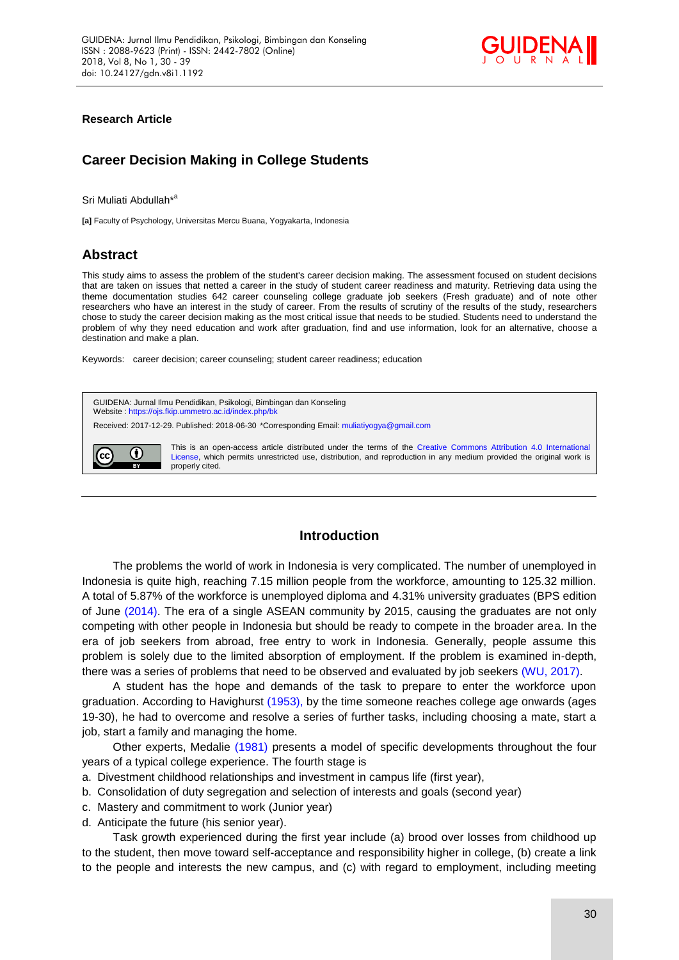

### **Research Article**

# **Career Decision Making in College Students**

Sri Muliati Abdullah<sup>\*a</sup>

**[a]** Faculty of Psychology, Universitas Mercu Buana, Yogyakarta, Indonesia

## **Abstract**

This study aims to assess the problem of the student's career decision making. The assessment focused on student decisions that are taken on issues that netted a career in the study of student career readiness and maturity. Retrieving data using the theme documentation studies 642 career counseling college graduate job seekers (Fresh graduate) and of note other researchers who have an interest in the study of career. From the results of scrutiny of the results of the study, researchers chose to study the career decision making as the most critical issue that needs to be studied. Students need to understand the problem of why they need education and work after graduation, find and use information, look for an alternative, choose a destination and make a plan.

Keywords: career decision; career counseling; student career readiness; education



### **Introduction**

The problems the world of work in Indonesia is very complicated. The number of unemployed in Indonesia is quite high, reaching 7.15 million people from the workforce, amounting to 125.32 million. A total of 5.87% of the workforce is unemployed diploma and 4.31% university graduates (BPS edition of June [\(2014\).](#page-9-0) The era of a single ASEAN community by 2015, causing the graduates are not only competing with other people in Indonesia but should be ready to compete in the broader area. In the era of job seekers from abroad, free entry to work in Indonesia. Generally, people assume this problem is solely due to the limited absorption of employment. If the problem is examined in-depth, there was a series of problems that need to be observed and evaluated by job seekers [\(WU, 2017\).](#page-9-0)

A student has the hope and demands of the task to prepare to enter the workforce upon graduation. According to Havighurst [\(1953\),](#page-9-0) by the time someone reaches college age onwards (ages 19-30), he had to overcome and resolve a series of further tasks, including choosing a mate, start a job, start a family and managing the home.

Other experts, Medalie [\(1981\)](#page-9-0) presents a model of specific developments throughout the four years of a typical college experience. The fourth stage is

- a. Divestment childhood relationships and investment in campus life (first year),
- b. Consolidation of duty segregation and selection of interests and goals (second year)
- c. Mastery and commitment to work (Junior year)
- d. Anticipate the future (his senior year).

Task growth experienced during the first year include (a) brood over losses from childhood up to the student, then move toward self-acceptance and responsibility higher in college, (b) create a link to the people and interests the new campus, and (c) with regard to employment, including meeting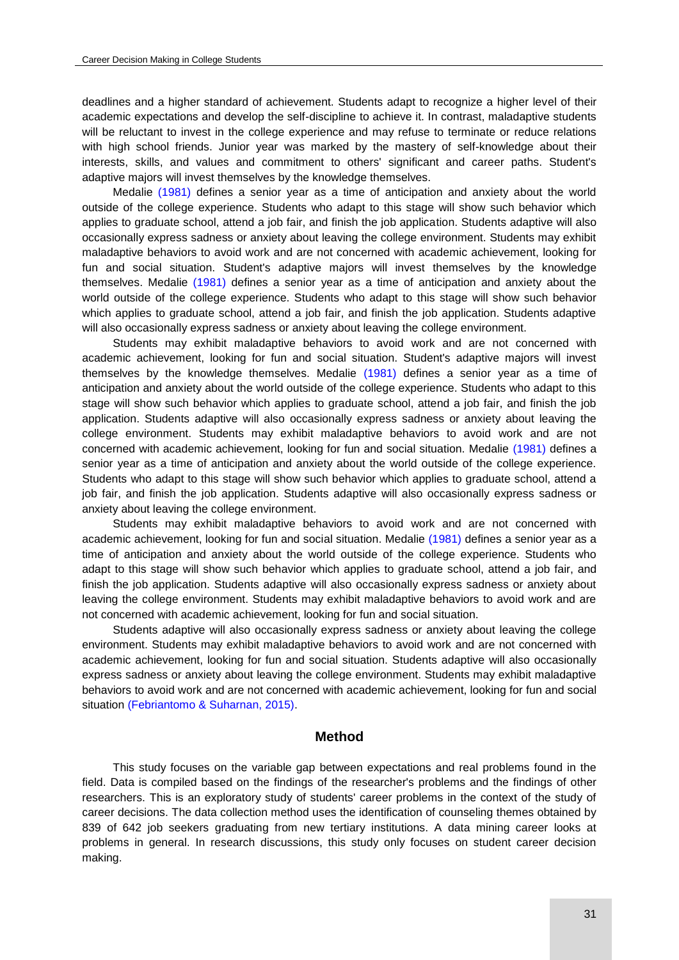deadlines and a higher standard of achievement. Students adapt to recognize a higher level of their academic expectations and develop the self-discipline to achieve it. In contrast, maladaptive students will be reluctant to invest in the college experience and may refuse to terminate or reduce relations with high school friends. Junior year was marked by the mastery of self-knowledge about their interests, skills, and values and commitment to others' significant and career paths. Student's adaptive majors will invest themselves by the knowledge themselves.

Medalie [\(1981\)](#page-9-0) defines a senior year as a time of anticipation and anxiety about the world outside of the college experience. Students who adapt to this stage will show such behavior which applies to graduate school, attend a job fair, and finish the job application. Students adaptive will also occasionally express sadness or anxiety about leaving the college environment. Students may exhibit maladaptive behaviors to avoid work and are not concerned with academic achievement, looking for fun and social situation. Student's adaptive majors will invest themselves by the knowledge themselves. Medalie [\(1981\)](#page-9-0) defines a senior year as a time of anticipation and anxiety about the world outside of the college experience. Students who adapt to this stage will show such behavior which applies to graduate school, attend a job fair, and finish the job application. Students adaptive will also occasionally express sadness or anxiety about leaving the college environment.

Students may exhibit maladaptive behaviors to avoid work and are not concerned with academic achievement, looking for fun and social situation. Student's adaptive majors will invest themselves by the knowledge themselves. Medalie [\(1981\)](#page-9-0) defines a senior year as a time of anticipation and anxiety about the world outside of the college experience. Students who adapt to this stage will show such behavior which applies to graduate school, attend a job fair, and finish the job application. Students adaptive will also occasionally express sadness or anxiety about leaving the college environment. Students may exhibit maladaptive behaviors to avoid work and are not concerned with academic achievement, looking for fun and social situation. Medalie [\(1981\)](#page-9-0) defines a senior year as a time of anticipation and anxiety about the world outside of the college experience. Students who adapt to this stage will show such behavior which applies to graduate school, attend a job fair, and finish the job application. Students adaptive will also occasionally express sadness or anxiety about leaving the college environment.

Students may exhibit maladaptive behaviors to avoid work and are not concerned with academic achievement, looking for fun and social situation. Medalie [\(1981\)](#page-9-0) defines a senior year as a time of anticipation and anxiety about the world outside of the college experience. Students who adapt to this stage will show such behavior which applies to graduate school, attend a job fair, and finish the job application. Students adaptive will also occasionally express sadness or anxiety about leaving the college environment. Students may exhibit maladaptive behaviors to avoid work and are not concerned with academic achievement, looking for fun and social situation.

Students adaptive will also occasionally express sadness or anxiety about leaving the college environment. Students may exhibit maladaptive behaviors to avoid work and are not concerned with academic achievement, looking for fun and social situation. Students adaptive will also occasionally express sadness or anxiety about leaving the college environment. Students may exhibit maladaptive behaviors to avoid work and are not concerned with academic achievement, looking for fun and social situation [\(Febriantomo & Suharnan, 2015\).](#page-9-0)

### **Method**

This study focuses on the variable gap between expectations and real problems found in the field. Data is compiled based on the findings of the researcher's problems and the findings of other researchers. This is an exploratory study of students' career problems in the context of the study of career decisions. The data collection method uses the identification of counseling themes obtained by 839 of 642 job seekers graduating from new tertiary institutions. A data mining career looks at problems in general. In research discussions, this study only focuses on student career decision making.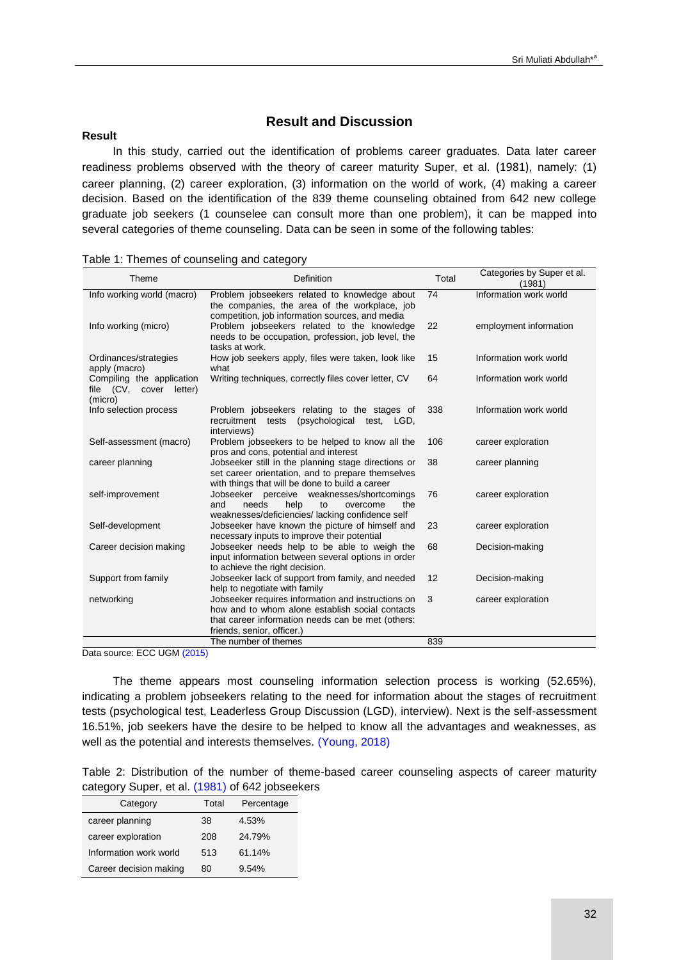## **Result and Discussion**

#### **Result**

In this study, carried out the identification of problems career graduates. Data later career readiness problems observed with the theory of career maturity Super, et al. [\(1981\)](#page-9-0), namely: (1) career planning, (2) career exploration, (3) information on the world of work, (4) making a career decision. Based on the identification of the 839 theme counseling obtained from 642 new college graduate job seekers (1 counselee can consult more than one problem), it can be mapped into several categories of theme counseling. Data can be seen in some of the following tables:

| Theme                                                           | Definition                                                                                                                                                                               | Total | Categories by Super et al.<br>(1981) |
|-----------------------------------------------------------------|------------------------------------------------------------------------------------------------------------------------------------------------------------------------------------------|-------|--------------------------------------|
| Info working world (macro)                                      | Problem jobseekers related to knowledge about<br>the companies, the area of the workplace, job<br>competition, job information sources, and media                                        | 74    | Information work world               |
| Info working (micro)                                            | Problem jobseekers related to the knowledge<br>needs to be occupation, profession, job level, the<br>tasks at work.                                                                      | 22    | employment information               |
| Ordinances/strategies<br>apply (macro)                          | How job seekers apply, files were taken, look like<br>what                                                                                                                               | 15    | Information work world               |
| Compiling the application<br>file (CV, cover letter)<br>(micro) | Writing techniques, correctly files cover letter, CV                                                                                                                                     | 64    | Information work world               |
| Info selection process                                          | Problem jobseekers relating to the stages of<br>recruitment tests<br>(psychological test, LGD,<br>interviews)                                                                            | 338   | Information work world               |
| Self-assessment (macro)                                         | Problem jobseekers to be helped to know all the<br>pros and cons, potential and interest                                                                                                 | 106   | career exploration                   |
| career planning                                                 | Jobseeker still in the planning stage directions or<br>set career orientation, and to prepare themselves<br>with things that will be done to build a career                              | 38    | career planning                      |
| self-improvement                                                | Jobseeker perceive weaknesses/shortcomings<br>help<br>and<br>needs<br>overcome<br>the<br>to<br>weaknesses/deficiencies/ lacking confidence self                                          | 76    | career exploration                   |
| Self-development                                                | Jobseeker have known the picture of himself and<br>necessary inputs to improve their potential                                                                                           | 23    | career exploration                   |
| Career decision making                                          | Jobseeker needs help to be able to weigh the<br>input information between several options in order<br>to achieve the right decision.                                                     | 68    | Decision-making                      |
| Support from family                                             | Jobseeker lack of support from family, and needed<br>help to negotiate with family                                                                                                       | 12    | Decision-making                      |
| networking                                                      | Jobseeker requires information and instructions on<br>how and to whom alone establish social contacts<br>that career information needs can be met (others:<br>friends, senior, officer.) | 3     | career exploration                   |
|                                                                 | The number of themes                                                                                                                                                                     | 839   |                                      |

| Table 1: Themes of counseling and category |  |  |  |
|--------------------------------------------|--|--|--|
|--------------------------------------------|--|--|--|

Data source: ECC UG[M \(2015\)](#page-9-0)

The theme appears most counseling information selection process is working (52.65%), indicating a problem jobseekers relating to the need for information about the stages of recruitment tests (psychological test, Leaderless Group Discussion (LGD), interview). Next is the self-assessment 16.51%, job seekers have the desire to be helped to know all the advantages and weaknesses, as well as the potential and interests themselves. [\(Young, 2018\)](#page-9-0)

|                                                 |  | Table 2: Distribution of the number of theme-based career counseling aspects of career maturity |  |  |  |
|-------------------------------------------------|--|-------------------------------------------------------------------------------------------------|--|--|--|
| category Super, et al. (1981) of 642 jobseekers |  |                                                                                                 |  |  |  |

| Category               | Total | Percentage |
|------------------------|-------|------------|
| career planning        | 38    | 4.53%      |
| career exploration     | 208   | 24.79%     |
| Information work world | 513   | 61.14%     |
| Career decision making | 80    | 9.54%      |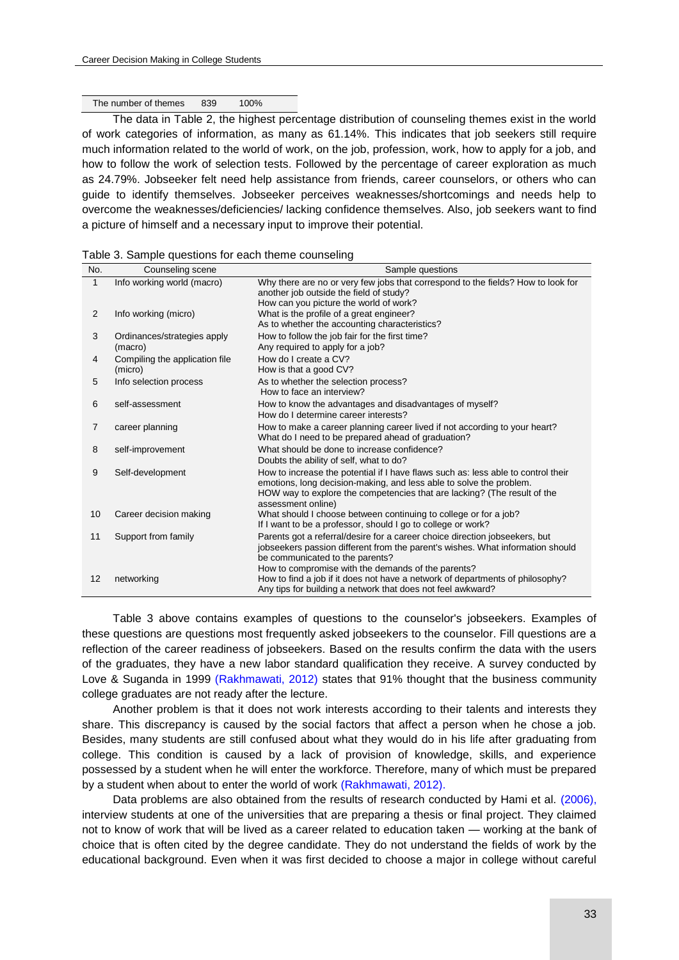#### The number of themes 839 100%

The data in Table 2, the highest percentage distribution of counseling themes exist in the world of work categories of information, as many as 61.14%. This indicates that job seekers still require much information related to the world of work, on the job, profession, work, how to apply for a job, and how to follow the work of selection tests. Followed by the percentage of career exploration as much as 24.79%. Jobseeker felt need help assistance from friends, career counselors, or others who can guide to identify themselves. Jobseeker perceives weaknesses/shortcomings and needs help to overcome the weaknesses/deficiencies/ lacking confidence themselves. Also, job seekers want to find a picture of himself and a necessary input to improve their potential.

| No.            | Counseling scene                          | Sample questions                                                                                                                                                                                                                                           |  |  |
|----------------|-------------------------------------------|------------------------------------------------------------------------------------------------------------------------------------------------------------------------------------------------------------------------------------------------------------|--|--|
| $\mathbf{1}$   | Info working world (macro)                | Why there are no or very few jobs that correspond to the fields? How to look for<br>another job outside the field of study?<br>How can you picture the world of work?                                                                                      |  |  |
| 2              | Info working (micro)                      | What is the profile of a great engineer?<br>As to whether the accounting characteristics?                                                                                                                                                                  |  |  |
| 3              | Ordinances/strategies apply<br>(macro)    | How to follow the job fair for the first time?<br>Any required to apply for a job?                                                                                                                                                                         |  |  |
| 4              | Compiling the application file<br>(micro) | How do I create a CV?<br>How is that a good CV?                                                                                                                                                                                                            |  |  |
| 5              | Info selection process                    | As to whether the selection process?<br>How to face an interview?                                                                                                                                                                                          |  |  |
| 6              | self-assessment                           | How to know the advantages and disadvantages of myself?<br>How do I determine career interests?                                                                                                                                                            |  |  |
| $\overline{7}$ | career planning                           | How to make a career planning career lived if not according to your heart?<br>What do I need to be prepared ahead of graduation?                                                                                                                           |  |  |
| 8              | self-improvement                          | What should be done to increase confidence?<br>Doubts the ability of self, what to do?                                                                                                                                                                     |  |  |
| 9              | Self-development                          | How to increase the potential if I have flaws such as: less able to control their<br>emotions, long decision-making, and less able to solve the problem.<br>HOW way to explore the competencies that are lacking? (The result of the<br>assessment online) |  |  |
| 10             | Career decision making                    | What should I choose between continuing to college or for a job?<br>If I want to be a professor, should I go to college or work?                                                                                                                           |  |  |
| 11             | Support from family                       | Parents got a referral/desire for a career choice direction jobseekers, but<br>jobseekers passion different from the parent's wishes. What information should<br>be communicated to the parents?<br>How to compromise with the demands of the parents?     |  |  |
| 12             | networking                                | How to find a job if it does not have a network of departments of philosophy?<br>Any tips for building a network that does not feel awkward?                                                                                                               |  |  |

|  |  | Table 3. Sample questions for each theme counseling |  |
|--|--|-----------------------------------------------------|--|
|--|--|-----------------------------------------------------|--|

Table 3 above contains examples of questions to the counselor's jobseekers. Examples of these questions are questions most frequently asked jobseekers to the counselor. Fill questions are a reflection of the career readiness of jobseekers. Based on the results confirm the data with the users of the graduates, they have a new labor standard qualification they receive. A survey conducted by Love & Suganda in 1999 [\(Rakhmawati, 2012\)](#page-9-0) states that 91% thought that the business community college graduates are not ready after the lecture.

Another problem is that it does not work interests according to their talents and interests they share. This discrepancy is caused by the social factors that affect a person when he chose a job. Besides, many students are still confused about what they would do in his life after graduating from college. This condition is caused by a lack of provision of knowledge, skills, and experience possessed by a student when he will enter the workforce. Therefore, many of which must be prepared by a student when about to enter the world of work [\(Rakhmawati, 2012\).](#page-9-0)

Data problems are also obtained from the results of research conducted by Hami et al. [\(2006\),](#page-9-0) interview students at one of the universities that are preparing a thesis or final project. They claimed not to know of work that will be lived as a career related to education taken — working at the bank of choice that is often cited by the degree candidate. They do not understand the fields of work by the educational background. Even when it was first decided to choose a major in college without careful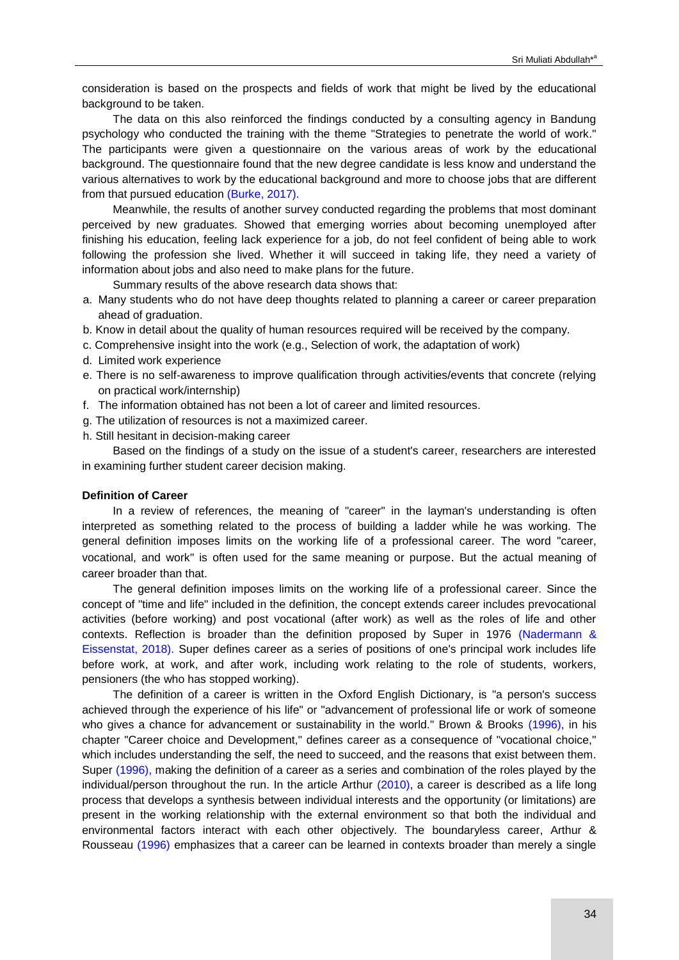consideration is based on the prospects and fields of work that might be lived by the educational background to be taken.

The data on this also reinforced the findings conducted by a consulting agency in Bandung psychology who conducted the training with the theme "Strategies to penetrate the world of work." The participants were given a questionnaire on the various areas of work by the educational background. The questionnaire found that the new degree candidate is less know and understand the various alternatives to work by the educational background and more to choose jobs that are different from that pursued education [\(Burke, 2017\).](#page-9-0)

Meanwhile, the results of another survey conducted regarding the problems that most dominant perceived by new graduates. Showed that emerging worries about becoming unemployed after finishing his education, feeling lack experience for a job, do not feel confident of being able to work following the profession she lived. Whether it will succeed in taking life, they need a variety of information about jobs and also need to make plans for the future.

Summary results of the above research data shows that:

- a. Many students who do not have deep thoughts related to planning a career or career preparation ahead of graduation.
- b. Know in detail about the quality of human resources required will be received by the company.
- c. Comprehensive insight into the work (e.g., Selection of work, the adaptation of work)
- d. Limited work experience
- e. There is no self-awareness to improve qualification through activities/events that concrete (relying on practical work/internship)
- f. The information obtained has not been a lot of career and limited resources.
- g. The utilization of resources is not a maximized career.
- h. Still hesitant in decision-making career

Based on the findings of a study on the issue of a student's career, researchers are interested in examining further student career decision making.

#### **Definition of Career**

In a review of references, the meaning of "career" in the layman's understanding is often interpreted as something related to the process of building a ladder while he was working. The general definition imposes limits on the working life of a professional career. The word "career, vocational, and work" is often used for the same meaning or purpose. But the actual meaning of career broader than that.

The general definition imposes limits on the working life of a professional career. Since the concept of "time and life" included in the definition, the concept extends career includes prevocational activities (before working) and post vocational (after work) as well as the roles of life and other contexts. Reflection is broader than the definition proposed by Super in 1976 [\(Nadermann &](#page-9-0)  [Eissenstat, 2018\).](#page-9-0) Super defines career as a series of positions of one's principal work includes life before work, at work, and after work, including work relating to the role of students, workers, pensioners (the who has stopped working).

The definition of a career is written in the Oxford English Dictionary, is "a person's success achieved through the experience of his life" or "advancement of professional life or work of someone who gives a chance for advancement or sustainability in the world." Brown & Brooks [\(1996\),](#page-9-0) in his chapter "Career choice and Development," defines career as a consequence of "vocational choice," which includes understanding the self, the need to succeed, and the reasons that exist between them. Super [\(1996\),](#page-9-0) making the definition of a career as a series and combination of the roles played by the individual/person throughout the run. In the article Arthur [\(2010\),](#page-9-0) a career is described as a life long process that develops a synthesis between individual interests and the opportunity (or limitations) are present in the working relationship with the external environment so that both the individual and environmental factors interact with each other objectively. The boundaryless career, Arthur & Rousseau [\(1996\)](#page-9-0) emphasizes that a career can be learned in contexts broader than merely a single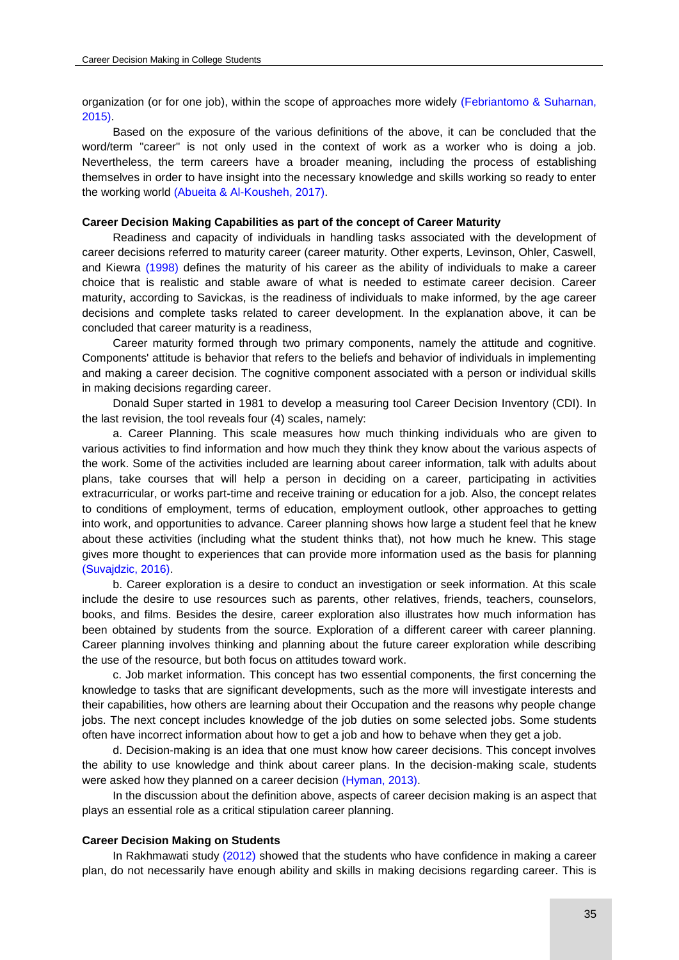organization (or for one job), within the scope of approaches more widely [\(Febriantomo & Suharnan,](#page-9-0)  [2015\).](#page-9-0)

Based on the exposure of the various definitions of the above, it can be concluded that the word/term "career" is not only used in the context of work as a worker who is doing a job. Nevertheless, the term careers have a broader meaning, including the process of establishing themselves in order to have insight into the necessary knowledge and skills working so ready to enter the working world [\(Abueita & Al-Kousheh, 2017\).](#page-9-0)

#### **Career Decision Making Capabilities as part of the concept of Career Maturity**

Readiness and capacity of individuals in handling tasks associated with the development of career decisions referred to maturity career (career maturity. Other experts, Levinson, Ohler, Caswell, and Kiewra [\(1998\)](#page-9-0) defines the maturity of his career as the ability of individuals to make a career choice that is realistic and stable aware of what is needed to estimate career decision. Career maturity, according to Savickas, is the readiness of individuals to make informed, by the age career decisions and complete tasks related to career development. In the explanation above, it can be concluded that career maturity is a readiness,

Career maturity formed through two primary components, namely the attitude and cognitive. Components' attitude is behavior that refers to the beliefs and behavior of individuals in implementing and making a career decision. The cognitive component associated with a person or individual skills in making decisions regarding career.

Donald Super started in 1981 to develop a measuring tool Career Decision Inventory (CDI). In the last revision, the tool reveals four (4) scales, namely:

a. Career Planning. This scale measures how much thinking individuals who are given to various activities to find information and how much they think they know about the various aspects of the work. Some of the activities included are learning about career information, talk with adults about plans, take courses that will help a person in deciding on a career, participating in activities extracurricular, or works part-time and receive training or education for a job. Also, the concept relates to conditions of employment, terms of education, employment outlook, other approaches to getting into work, and opportunities to advance. Career planning shows how large a student feel that he knew about these activities (including what the student thinks that), not how much he knew. This stage gives more thought to experiences that can provide more information used as the basis for planning [\(Suvajdzic, 2016\).](#page-9-0) 

b. Career exploration is a desire to conduct an investigation or seek information. At this scale include the desire to use resources such as parents, other relatives, friends, teachers, counselors, books, and films. Besides the desire, career exploration also illustrates how much information has been obtained by students from the source. Exploration of a different career with career planning. Career planning involves thinking and planning about the future career exploration while describing the use of the resource, but both focus on attitudes toward work.

c. Job market information. This concept has two essential components, the first concerning the knowledge to tasks that are significant developments, such as the more will investigate interests and their capabilities, how others are learning about their Occupation and the reasons why people change jobs. The next concept includes knowledge of the job duties on some selected jobs. Some students often have incorrect information about how to get a job and how to behave when they get a job.

d. Decision-making is an idea that one must know how career decisions. This concept involves the ability to use knowledge and think about career plans. In the decision-making scale, students were asked how they planned on a career decision [\(Hyman, 2013\).](#page-9-0)

In the discussion about the definition above, aspects of career decision making is an aspect that plays an essential role as a critical stipulation career planning.

#### **Career Decision Making on Students**

In Rakhmawati study [\(2012\)](#page-9-0) showed that the students who have confidence in making a career plan, do not necessarily have enough ability and skills in making decisions regarding career. This is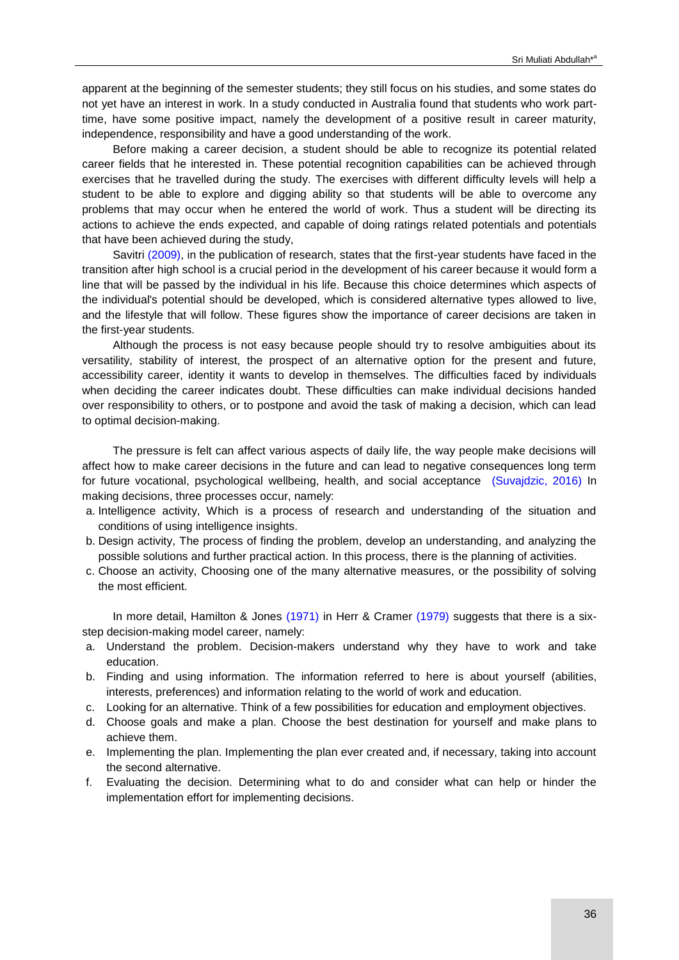apparent at the beginning of the semester students; they still focus on his studies, and some states do not yet have an interest in work. In a study conducted in Australia found that students who work parttime, have some positive impact, namely the development of a positive result in career maturity, independence, responsibility and have a good understanding of the work.

Before making a career decision, a student should be able to recognize its potential related career fields that he interested in. These potential recognition capabilities can be achieved through exercises that he travelled during the study. The exercises with different difficulty levels will help a student to be able to explore and digging ability so that students will be able to overcome any problems that may occur when he entered the world of work. Thus a student will be directing its actions to achieve the ends expected, and capable of doing ratings related potentials and potentials that have been achieved during the study,

Savitri [\(2009\),](#page-9-0) in the publication of research, states that the first-year students have faced in the transition after high school is a crucial period in the development of his career because it would form a line that will be passed by the individual in his life. Because this choice determines which aspects of the individual's potential should be developed, which is considered alternative types allowed to live, and the lifestyle that will follow. These figures show the importance of career decisions are taken in the first-year students.

Although the process is not easy because people should try to resolve ambiguities about its versatility, stability of interest, the prospect of an alternative option for the present and future, accessibility career, identity it wants to develop in themselves. The difficulties faced by individuals when deciding the career indicates doubt. These difficulties can make individual decisions handed over responsibility to others, or to postpone and avoid the task of making a decision, which can lead to optimal decision-making.

The pressure is felt can affect various aspects of daily life, the way people make decisions will affect how to make career decisions in the future and can lead to negative consequences long term for future vocational, psychological wellbeing, health, and social acceptance [\(Suvajdzic, 2016\)](#page-9-0) In making decisions, three processes occur, namely:

- a. Intelligence activity, Which is a process of research and understanding of the situation and conditions of using intelligence insights.
- b. Design activity, The process of finding the problem, develop an understanding, and analyzing the possible solutions and further practical action. In this process, there is the planning of activities.
- c. Choose an activity, Choosing one of the many alternative measures, or the possibility of solving the most efficient.

In more detail, Hamilton & Jones [\(1971\)](#page-9-0) in Herr & Cramer [\(1979\)](#page-9-0) suggests that there is a sixstep decision-making model career, namely:

- a. Understand the problem. Decision-makers understand why they have to work and take education.
- b. Finding and using information. The information referred to here is about yourself (abilities, interests, preferences) and information relating to the world of work and education.
- c. Looking for an alternative. Think of a few possibilities for education and employment objectives.
- d. Choose goals and make a plan. Choose the best destination for yourself and make plans to achieve them.
- e. Implementing the plan. Implementing the plan ever created and, if necessary, taking into account the second alternative.
- f. Evaluating the decision. Determining what to do and consider what can help or hinder the implementation effort for implementing decisions.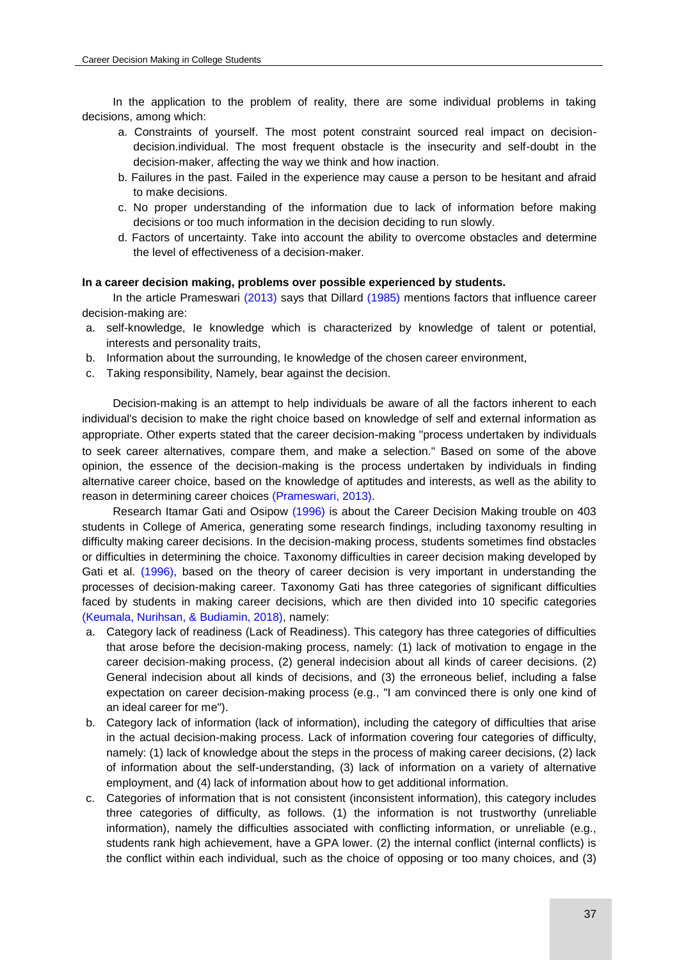In the application to the problem of reality, there are some individual problems in taking decisions, among which:

- a. Constraints of yourself. The most potent constraint sourced real impact on decisiondecision.individual. The most frequent obstacle is the insecurity and self-doubt in the decision-maker, affecting the way we think and how inaction.
- b. Failures in the past. Failed in the experience may cause a person to be hesitant and afraid to make decisions.
- c. No proper understanding of the information due to lack of information before making decisions or too much information in the decision deciding to run slowly.
- d. Factors of uncertainty. Take into account the ability to overcome obstacles and determine the level of effectiveness of a decision-maker.

### **In a career decision making, problems over possible experienced by students.**

In the article Prameswari [\(2013\)](#page-9-0) says that Dillard [\(1985\)](#page-9-0) mentions factors that influence career decision-making are:

- a. self-knowledge, Ie knowledge which is characterized by knowledge of talent or potential, interests and personality traits,
- b. Information about the surrounding, Ie knowledge of the chosen career environment,
- c. Taking responsibility, Namely, bear against the decision.

Decision-making is an attempt to help individuals be aware of all the factors inherent to each individual's decision to make the right choice based on knowledge of self and external information as appropriate. Other experts stated that the career decision-making "process undertaken by individuals to seek career alternatives, compare them, and make a selection." Based on some of the above opinion, the essence of the decision-making is the process undertaken by individuals in finding alternative career choice, based on the knowledge of aptitudes and interests, as well as the ability to reason in determining career choices [\(Prameswari, 2013\).](#page-9-0)

Research Itamar Gati and Osipow [\(1996\)](#page-9-0) is about the Career Decision Making trouble on 403 students in College of America, generating some research findings, including taxonomy resulting in difficulty making career decisions. In the decision-making process, students sometimes find obstacles or difficulties in determining the choice. Taxonomy difficulties in career decision making developed by Gati et al. [\(1996\),](#page-9-0) based on the theory of career decision is very important in understanding the processes of decision-making career. Taxonomy Gati has three categories of significant difficulties faced by students in making career decisions, which are then divided into 10 specific categories [\(Keumala, Nurihsan, & Budiamin, 2018\),](#page-9-0) namely:

- a. Category lack of readiness (Lack of Readiness). This category has three categories of difficulties that arose before the decision-making process, namely: (1) lack of motivation to engage in the career decision-making process, (2) general indecision about all kinds of career decisions. (2) General indecision about all kinds of decisions, and (3) the erroneous belief, including a false expectation on career decision-making process (e.g., "I am convinced there is only one kind of an ideal career for me").
- b. Category lack of information (lack of information), including the category of difficulties that arise in the actual decision-making process. Lack of information covering four categories of difficulty, namely: (1) lack of knowledge about the steps in the process of making career decisions, (2) lack of information about the self-understanding, (3) lack of information on a variety of alternative employment, and (4) lack of information about how to get additional information.
- c. Categories of information that is not consistent (inconsistent information), this category includes three categories of difficulty, as follows. (1) the information is not trustworthy (unreliable information), namely the difficulties associated with conflicting information, or unreliable (e.g., students rank high achievement, have a GPA lower. (2) the internal conflict (internal conflicts) is the conflict within each individual, such as the choice of opposing or too many choices, and (3)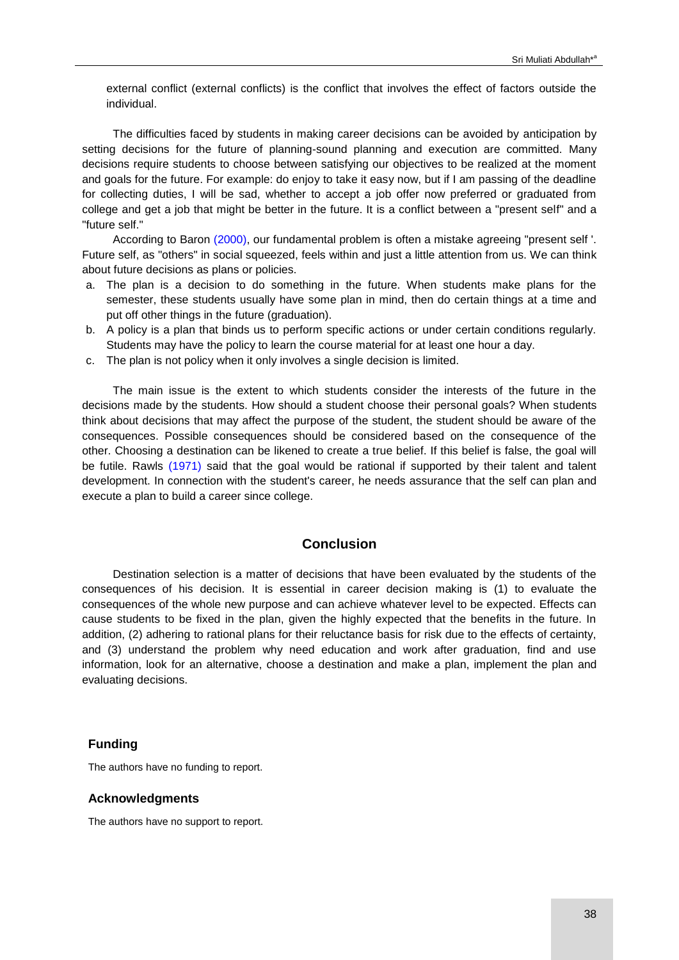external conflict (external conflicts) is the conflict that involves the effect of factors outside the individual.

The difficulties faced by students in making career decisions can be avoided by anticipation by setting decisions for the future of planning-sound planning and execution are committed. Many decisions require students to choose between satisfying our objectives to be realized at the moment and goals for the future. For example: do enjoy to take it easy now, but if I am passing of the deadline for collecting duties, I will be sad, whether to accept a job offer now preferred or graduated from college and get a job that might be better in the future. It is a conflict between a "present self" and a "future self."

According to Baron [\(2000\),](#page-9-0) our fundamental problem is often a mistake agreeing "present self '. Future self, as "others" in social squeezed, feels within and just a little attention from us. We can think about future decisions as plans or policies.

- a. The plan is a decision to do something in the future. When students make plans for the semester, these students usually have some plan in mind, then do certain things at a time and put off other things in the future (graduation).
- b. A policy is a plan that binds us to perform specific actions or under certain conditions regularly. Students may have the policy to learn the course material for at least one hour a day.
- c. The plan is not policy when it only involves a single decision is limited.

The main issue is the extent to which students consider the interests of the future in the decisions made by the students. How should a student choose their personal goals? When students think about decisions that may affect the purpose of the student, the student should be aware of the consequences. Possible consequences should be considered based on the consequence of the other. Choosing a destination can be likened to create a true belief. If this belief is false, the goal will be futile. Rawls [\(1971\)](#page-9-0) said that the goal would be rational if supported by their talent and talent development. In connection with the student's career, he needs assurance that the self can plan and execute a plan to build a career since college.

# **Conclusion**

Destination selection is a matter of decisions that have been evaluated by the students of the consequences of his decision. It is essential in career decision making is (1) to evaluate the consequences of the whole new purpose and can achieve whatever level to be expected. Effects can cause students to be fixed in the plan, given the highly expected that the benefits in the future. In addition, (2) adhering to rational plans for their reluctance basis for risk due to the effects of certainty, and (3) understand the problem why need education and work after graduation, find and use information, look for an alternative, choose a destination and make a plan, implement the plan and evaluating decisions.

#### **Funding**

The authors have no funding to report.

#### **Acknowledgments**

The authors have no support to report.